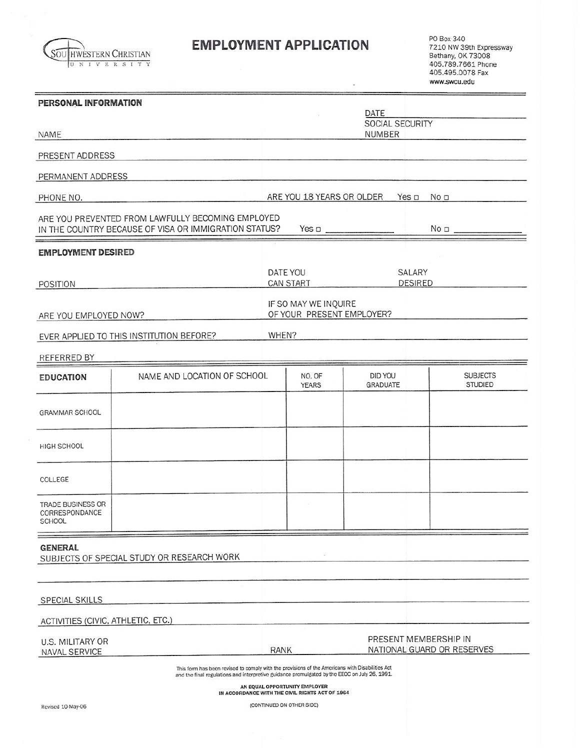

# **EMPLOYMENT APPLICATION**

PO Box 340<br>7210 NW 39th Expressway<br>Bethany, OK 73008<br>405.789.7661 Phone 405.495.0078 Fax www.swcu.edu

| PERSONAL INFORMATION                                        |                                                                                                                                                                                                  |                                                   |                                                                                  |                            |                                                     |                                   |
|-------------------------------------------------------------|--------------------------------------------------------------------------------------------------------------------------------------------------------------------------------------------------|---------------------------------------------------|----------------------------------------------------------------------------------|----------------------------|-----------------------------------------------------|-----------------------------------|
|                                                             |                                                                                                                                                                                                  | DATE<br>SOCIAL SECURITY                           |                                                                                  |                            |                                                     |                                   |
| <b>NAME</b>                                                 |                                                                                                                                                                                                  |                                                   |                                                                                  | <b>NUMBER</b>              |                                                     |                                   |
| PRESENT ADDRESS                                             |                                                                                                                                                                                                  |                                                   |                                                                                  |                            |                                                     |                                   |
| PERMANENT ADDRESS                                           |                                                                                                                                                                                                  |                                                   |                                                                                  |                            |                                                     |                                   |
| PHONE NO.                                                   |                                                                                                                                                                                                  |                                                   | ARE YOU 18 YEARS OR OLDER                                                        |                            | Yes $\Box$<br>No <sub>D</sub>                       |                                   |
|                                                             | ARE YOU PREVENTED FROM LAWFULLY BECOMING EMPLOYED<br>IN THE COUNTRY BECAUSE OF VISA OR IMMIGRATION STATUS?                                                                                       | $Yes \Box$                                        |                                                                                  |                            | No <sub>0</sub>                                     |                                   |
| <b>EMPLOYMENT DESIRED</b>                                   |                                                                                                                                                                                                  |                                                   |                                                                                  |                            |                                                     |                                   |
|                                                             |                                                                                                                                                                                                  |                                                   | DATE YOU                                                                         |                            | SALARY                                              |                                   |
| POSITION                                                    |                                                                                                                                                                                                  |                                                   | <b>CAN START</b>                                                                 |                            | <b>DESIRED</b>                                      |                                   |
| ARE YOU EMPLOYED NOW?                                       |                                                                                                                                                                                                  | IF SO MAY WE INQUIRE<br>OF YOUR PRESENT EMPLOYER? |                                                                                  |                            |                                                     |                                   |
|                                                             | EVER APPLIED TO THIS INSTITUTION BEFORE?                                                                                                                                                         | WHEN?                                             |                                                                                  |                            |                                                     |                                   |
| <b>REFERRED BY</b>                                          |                                                                                                                                                                                                  |                                                   |                                                                                  |                            |                                                     |                                   |
| <b>EDUCATION</b>                                            | NAME AND LOCATION OF SCHOOL                                                                                                                                                                      |                                                   | NO. OF<br><b>YEARS</b>                                                           | DID YOU<br><b>GRADUATE</b> |                                                     | <b>SUBJECTS</b><br><b>STUDIED</b> |
| <b>GRAMMAR SCHOOL</b>                                       |                                                                                                                                                                                                  |                                                   |                                                                                  |                            |                                                     |                                   |
| HIGH SCHOOL                                                 |                                                                                                                                                                                                  |                                                   |                                                                                  |                            |                                                     |                                   |
| COLLEGE                                                     |                                                                                                                                                                                                  |                                                   |                                                                                  |                            |                                                     |                                   |
| <b>TRADE BUSINESS OR</b><br>CORRESPONDANCE<br><b>SCHOOL</b> |                                                                                                                                                                                                  |                                                   |                                                                                  |                            |                                                     |                                   |
| <b>GENERAL</b>                                              | SUBJECTS OF SPECIAL STUDY OR RESEARCH WORK                                                                                                                                                       |                                                   |                                                                                  |                            |                                                     |                                   |
|                                                             |                                                                                                                                                                                                  |                                                   |                                                                                  |                            |                                                     |                                   |
| <b>SPECIAL SKILLS</b>                                       |                                                                                                                                                                                                  |                                                   |                                                                                  |                            |                                                     |                                   |
| ACTIVITIES (CIVIC, ATHLETIC, ETC.)                          |                                                                                                                                                                                                  |                                                   |                                                                                  |                            |                                                     |                                   |
| U.S. MILITARY OR<br>NAVAL SERVICE                           |                                                                                                                                                                                                  | <b>RANK</b>                                       |                                                                                  |                            | PRESENT MEMBERSHIP IN<br>NATIONAL GUARD OR RESERVES |                                   |
|                                                             | This form has been revised to comply with the provisions of the Americans with Disabilities Act<br>and the final regulations and interpretive guidance promulgated by the EEOC on July 26, 1991. |                                                   | AN EQUAL OPPORTUNITY EMPLOYER<br>IN ACCORDANCE WITH THE CIVIL RIGHTS ACT OF 1964 |                            |                                                     |                                   |

(CONTINUED ON OTHER SIDE)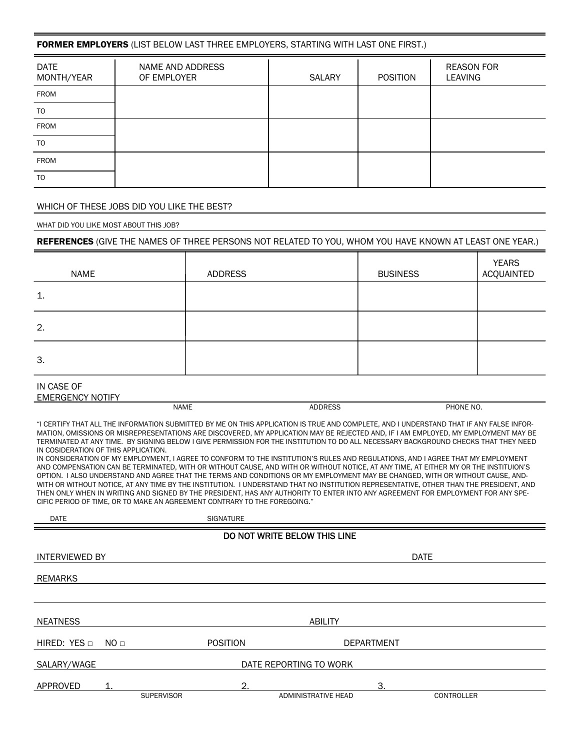## FORMER EMPLOYERS (LIST BELOW LAST THREE EMPLOYERS, STARTING WITH LAST ONE FIRST.)

| <b>DATE</b><br>MONTH/YEAR | NAME AND ADDRESS<br>OF EMPLOYER | <b>SALARY</b> | <b>POSITION</b> | <b>REASON FOR</b><br><b>LEAVING</b> |
|---------------------------|---------------------------------|---------------|-----------------|-------------------------------------|
| FROM                      |                                 |               |                 |                                     |
| TO                        |                                 |               |                 |                                     |
| FROM                      |                                 |               |                 |                                     |
| TO                        |                                 |               |                 |                                     |
| <b>FROM</b>               |                                 |               |                 |                                     |
| T <sub>O</sub>            |                                 |               |                 |                                     |

### WHICH OF THESE JOBS DID YOU LIKE THE BEST?

WHAT DID YOU LIKE MOST ABOUT THIS JOB?

#### REFERENCES (GIVE THE NAMES OF THREE PERSONS NOT RELATED TO YOU, WHOM YOU HAVE KNOWN AT LEAST ONE YEAR.)

| NAME         | <b>ADDRESS</b> | <b>BUSINESS</b> | <b>YEARS</b><br>ACQUAINTED |
|--------------|----------------|-----------------|----------------------------|
| $\mathbf{1}$ |                |                 |                            |
| 2.           |                |                 |                            |
| 3.           |                |                 |                            |

### IN CASE OF

## EMERGENCY NOTIFY

NAME NO. ADDRESS PHONE NO.

"I CERTIFY THAT ALL THE INFORMATION SUBMITTED BY ME ON THIS APPLICATION IS TRUE AND COMPLETE, AND I UNDERSTAND THAT IF ANY FALSE INFOR-MATION, OMISSIONS OR MISREPRESENTATIONS ARE DISCOVERED, MY APPLICATION MAY BE REJECTED AND, IF I AM EMPLOYED, MY EMPLOYMENT MAY BE TERMINATED AT ANY TIME. BY SIGNING BELOW I GIVE PERMISSION FOR THE INSTITUTION TO DO ALL NECESSARY BACKGROUND CHECKS THAT THEY NEED IN COSIDERATION OF THIS APPLICATION.

IN CONSIDERATION OF MY EMPLOYMENT, I AGREE TO CONFORM TO THE INSTITUTION'S RULES AND REGULATIONS, AND I AGREE THAT MY EMPLOYMENT AND COMPENSATION CAN BE TERMINATED, WITH OR WITHOUT CAUSE, AND WITH OR WITHOUT NOTICE, AT ANY TIME, AT EITHER MY OR THE INSTITUION'S OPTION. I ALSO UNDERSTAND AND AGREE THAT THE TERMS AND CONDITIONS OR MY EMPLOYMENT MAY BE CHANGED, WITH OR WITHOUT CAUSE, AND-WITH OR WITHOUT NOTICE, AT ANY TIME BY THE INSTITUTION. I UNDERSTAND THAT NO INSTITUTION REPRESENTATIVE, OTHER THAN THE PRESIDENT, AND THEN ONLY WHEN IN WRITING AND SIGNED BY THE PRESIDENT, HAS ANY AUTHORITY TO ENTER INTO ANY AGREEMENT FOR EMPLOYMENT FOR ANY SPE-CIFIC PERIOD OF TIME, OR TO MAKE AN AGREEMENT CONTRARY TO THE FOREGOING."

| <b>DATE</b>                           |                 | <b>SIGNATURE</b>  |                     |             |  |
|---------------------------------------|-----------------|-------------------|---------------------|-------------|--|
| DO NOT WRITE BELOW THIS LINE          |                 |                   |                     |             |  |
| <b>INTERVIEWED BY</b>                 |                 |                   |                     | <b>DATE</b> |  |
| <b>REMARKS</b>                        |                 |                   |                     |             |  |
|                                       |                 |                   |                     |             |  |
| <b>NEATNESS</b>                       |                 |                   | <b>ABILITY</b>      |             |  |
| HIRED: YES $\Box$                     | NO <sub>□</sub> | <b>POSITION</b>   | <b>DEPARTMENT</b>   |             |  |
| SALARY/WAGE<br>DATE REPORTING TO WORK |                 |                   |                     |             |  |
| APPROVED                              | 1.              | 2.                | 3.                  |             |  |
|                                       |                 | <b>SUPERVISOR</b> | ADMINISTRATIVE HEAD | CONTROLLER  |  |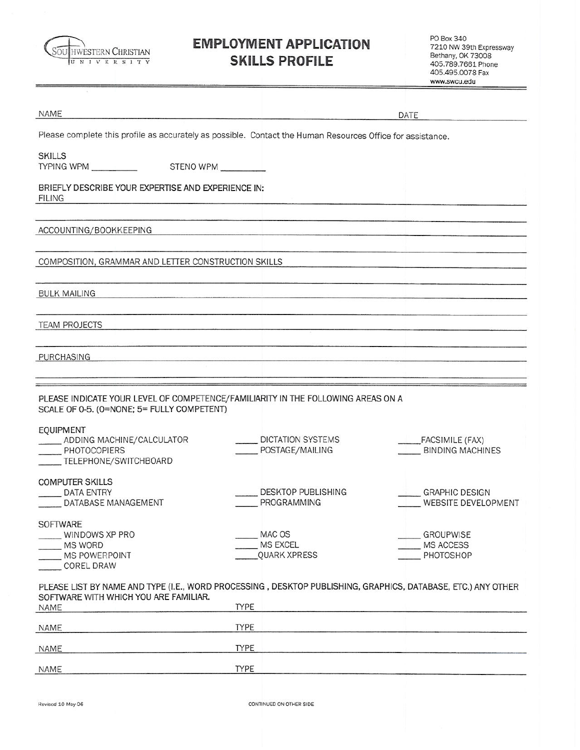

E

# **EMPLOYMENT APPLICATION SKILLS PROFILE**

PO Box 340 PO Box 340<br>7210 NW 39th Expressway<br>Bethany, OK 73008<br>405.789.7661 Phone 405.495.0078 Fax www.swcu.edu

| NAME                                                                                                                                                                                                              |                                           |                                              |
|-------------------------------------------------------------------------------------------------------------------------------------------------------------------------------------------------------------------|-------------------------------------------|----------------------------------------------|
|                                                                                                                                                                                                                   |                                           | DATE                                         |
| Please complete this profile as accurately as possible. Contact the Human Resources Office for assistance.                                                                                                        |                                           |                                              |
| <b>SKILLS</b><br>TYPING WPM<br>STENO WPM                                                                                                                                                                          |                                           |                                              |
| BRIEFLY DESCRIBE YOUR EXPERTISE AND EXPERIENCE IN:<br><b>FILING</b>                                                                                                                                               |                                           |                                              |
| ACCOUNTING/BOOKKEEPING                                                                                                                                                                                            |                                           |                                              |
| COMPOSITION, GRAMMAR AND LETTER CONSTRUCTION SKILLS                                                                                                                                                               |                                           |                                              |
| <b>BULK MAILING</b>                                                                                                                                                                                               |                                           |                                              |
| <b>TEAM PROJECTS</b>                                                                                                                                                                                              |                                           |                                              |
| PURCHASING                                                                                                                                                                                                        |                                           |                                              |
| PLEASE INDICATE YOUR LEVEL OF COMPETENCE/FAMILIARITY IN THE FOLLOWING AREAS ON A<br>SCALE OF 0-5. (0=NONE; 5= FULLY COMPETENT)<br>EQUIPMENT<br>ADDING MACHINE/CALCULATOR<br>PHOTOCOPIERS<br>TELEPHONE/SWITCHBOARD | DICTATION SYSTEMS<br>POSTAGE/MAILING      | FACSIMILE (FAX)<br>BINDING MACHINES          |
| <b>COMPUTER SKILLS</b><br>DATA ENTRY<br>DATABASE MANAGEMENT                                                                                                                                                       | <b>DESKTOP PUBLISHING</b><br>PROGRAMMING  | <b>GRAPHIC DESIGN</b><br>WEBSITE DEVELOPMENT |
| SOFTWARE<br>WINDOWS XP PRO<br>MS WORD<br>MS POWERPOINT<br>COREL DRAW                                                                                                                                              | MAC OS<br>MS EXCEL<br><b>QUARK XPRESS</b> | <b>GROUPWISE</b><br>MS ACCESS<br>PHOTOSHOP   |
| PLEASE LIST BY NAME AND TYPE (I.E., WORD PROCESSING, DESKTOP PUBLISHING, GRAPHICS, DATABASE, ETC.) ANY OTHER<br>SOFTWARE WITH WHICH YOU ARE FAMILIAR.<br>NAME                                                     | <b>TYPE</b>                               |                                              |
| <b>NAME</b>                                                                                                                                                                                                       | <b>TYPE</b>                               |                                              |
| NAME                                                                                                                                                                                                              | <b>TYPE</b>                               |                                              |
| NAME                                                                                                                                                                                                              | <b>TYPE</b>                               |                                              |

CONTINUED ON OTHER SIDE